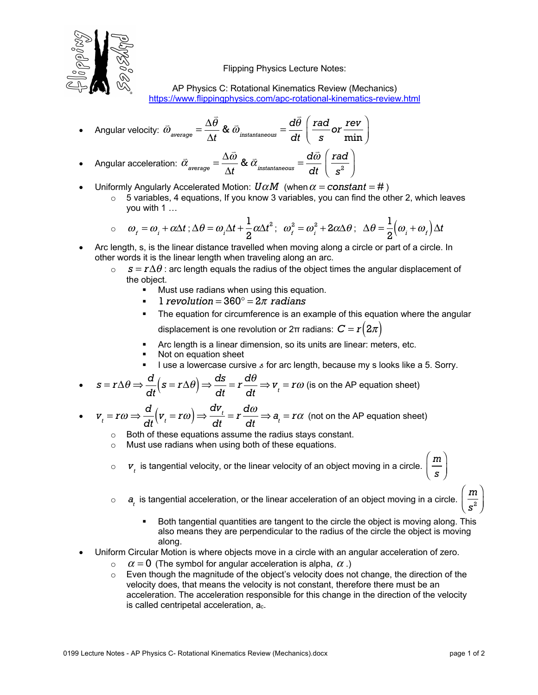

Flipping Physics Lecture Notes:

AP Physics C: Rotational Kinematics Review (Mechanics) https://www.flippingphysics.com/apc-rotational-kinematics-review.html

• Angular velocity: 
$$
\overline{\omega}_{\text{average}} = \frac{\Delta \overline{\theta}}{\Delta t} \& \overline{\omega}_{\text{instantaneous}} = \frac{d\overline{\theta}}{dt} \left( \frac{rad}{s} \overline{\omega} \frac{rev}{min} \right)
$$

- Angular acceleration:  $\bar{\alpha}_{\text{average}} = \frac{\Delta \vec{\omega}}{\Delta t}$ ω Δ*t*  $\frac{d\vec{a}}{dt}$  instantaneous  $=\frac{d\vec{a}}{dt}$ ω *dt rad*  $s^2$  $\sqrt{}$  $\overline{\mathcal{N}}$  $\lambda$  $\overline{a}$
- Uniformly Angularly Accelerated Motion:  $\bm{U}\alpha\bm{M}$  (when  $\alpha$  =  $\bm{constant}$  = #)
	- $\circ$  5 variables, 4 equations, If you know 3 variables, you can find the other 2, which leaves you with 1 …

$$
\circ \quad \omega_{f} = \omega_{i} + \alpha \Delta t \; ; \Delta \theta = \omega_{i} \Delta t + \frac{1}{2} \alpha \Delta t^{2} ; \quad \omega_{f}^{2} = \omega_{i}^{2} + 2 \alpha \Delta \theta \; ; \quad \Delta \theta = \frac{1}{2} (\omega_{i} + \omega_{f}) \Delta t
$$

- Arc length, s, is the linear distance travelled when moving along a circle or part of a circle. In other words it is the linear length when traveling along an arc.
	- $s = rΔθ$ : arc length equals the radius of the object times the angular displacement of the object.
		- Must use radians when using this equation.
		- § 1 *revolution* =  $360^\circ$  =  $2\pi$  *radians*
		- The equation for circumference is an example of this equation where the angular displacement is one revolution or 2π radians:  $\boldsymbol{C} = \boldsymbol{r}\big(2\pi\big)$
		- Arc length is a linear dimension, so its units are linear: meters, etc.
		- Not on equation sheet
		- I use a lowercase cursive  $s$  for arc length, because my s looks like a 5. Sorry.

• 
$$
s = r\Delta\theta \Rightarrow \frac{d}{dt}(s = r\Delta\theta) \Rightarrow \frac{ds}{dt} = r\frac{d\theta}{dt} \Rightarrow v_t = r\omega
$$
 (is on the AP equation sheet)

• 
$$
v_t = r\omega \Rightarrow \frac{d}{dt}(v_t = r\omega) \Rightarrow \frac{dv_t}{dt} = r\frac{d\omega}{dt} \Rightarrow a_t = r\alpha
$$
 (not on the AP equation sheet)

- o Both of these equations assume the radius stays constant.
- o Must use radians when using both of these equations.
- $\circ$  v<sub>t</sub> is tangential velocity, or the linear velocity of an object moving in a circle.  $\left\lceil \frac{m}{\tilde{c}} \right\rceil$  $\sqrt{}$  $\overline{\mathcal{N}}$
- $\circ$   $a_{\mu}$  is tangential acceleration, or the linear acceleration of an object moving in a circle.  $\big($ ⎝  $\mathsf{I}$ 
	- Both tangential quantities are tangent to the circle the object is moving along. This also means they are perpendicular to the radius of the circle the object is moving along.
- Uniform Circular Motion is where objects move in a circle with an angular acceleration of zero.
	- $\alpha = 0$  (The symbol for angular acceleration is alpha,  $\alpha$  .)
	- $\circ$  Even though the magnitude of the object's velocity does not change, the direction of the velocity does, that means the velocity is not constant, therefore there must be an acceleration. The acceleration responsible for this change in the direction of the velocity is called centripetal acceleration, ac.

*s*

⎞  $\overline{a}$ 

> *m*  $s^2$

⎞ ⎠ ⎟